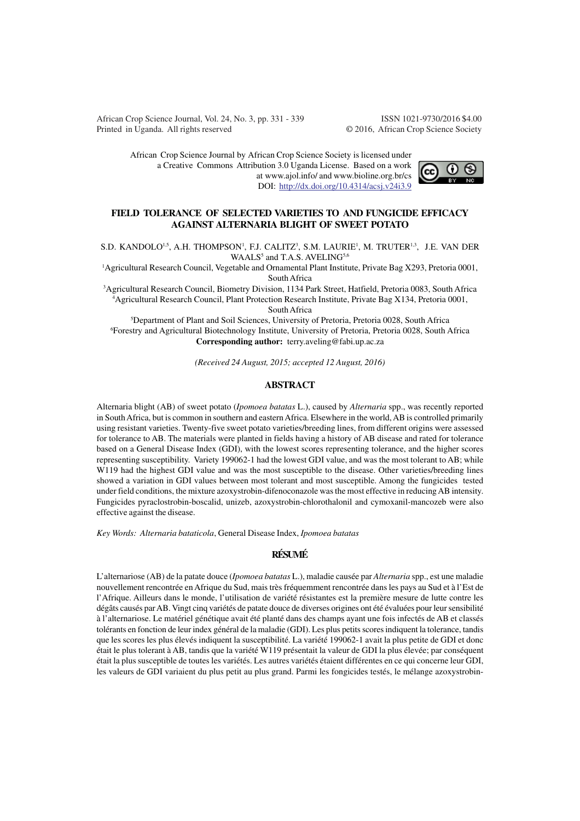African Crop Science Journal, Vol. 24, No. 3, pp. 331 - 339 ISSN 1021-9730/2016 \$4.00 Printed in Uganda. All rights reserved © 2016, African Crop Science Society

African Crop Science Journal by African Crop Science Society is licensed under a Creative Commons Attribution 3.0 Uganda License. Based on a work at www.ajol.info/ and www.bioline.org.br/cs DOI: http://dx.doi.org/10.4314/acsj.v24i3.9



### **FIELD TOLERANCE OF SELECTED VARIETIES TO AND FUNGICIDE EFFICACY AGAINST ALTERNARIA BLIGHT OF SWEET POTATO**

S.D. KANDOLO<sup>1,5</sup>, A.H. THOMPSON<sup>1</sup>, F.J. CALITZ<sup>3</sup>, S.M. LAURIE<sup>1</sup>, M. TRUTER<sup>1,3</sup>, J.E. VAN DER WAALS<sup>5</sup> and T.A.S. AVELING<sup>5,6</sup>

<sup>1</sup>Agricultural Research Council, Vegetable and Ornamental Plant Institute, Private Bag X293, Pretoria 0001, South Africa

<sup>3</sup>Agricultural Research Council, Biometry Division, 1134 Park Street, Hatfield, Pretoria 0083, South Africa <sup>4</sup>Agricultural Research Council, Plant Protection Research Institute, Private Bag X134, Pretoria 0001, South Africa

<sup>5</sup>Department of Plant and Soil Sciences, University of Pretoria, Pretoria 0028, South Africa <sup>6</sup>Forestry and Agricultural Biotechnology Institute, University of Pretoria, Pretoria 0028, South Africa **Corresponding author:** terry.aveling@fabi.up.ac.za

*(Received 24 August, 2015; accepted 12 August, 2016)*

### **ABSTRACT**

Alternaria blight (AB) of sweet potato (*Ipomoea batatas* L.), caused by *Alternaria* spp., was recently reported in South Africa, but is common in southern and eastern Africa. Elsewhere in the world, AB is controlled primarily using resistant varieties. Twenty-five sweet potato varieties/breeding lines, from different origins were assessed for tolerance to AB. The materials were planted in fields having a history of AB disease and rated for tolerance based on a General Disease Index (GDI), with the lowest scores representing tolerance, and the higher scores representing susceptibility. Variety 199062-1 had the lowest GDI value, and was the most tolerant to AB; while W119 had the highest GDI value and was the most susceptible to the disease. Other varieties/breeding lines showed a variation in GDI values between most tolerant and most susceptible. Among the fungicides tested under field conditions, the mixture azoxystrobin-difenoconazole was the most effective in reducing AB intensity. Fungicides pyraclostrobin-boscalid, unizeb, azoxystrobin-chlorothalonil and cymoxanil-mancozeb were also effective against the disease.

*Key Words: Alternaria bataticola*, General Disease Index, *Ipomoea batatas*

# **RÉSUMÉ**

L'alternariose (AB) de la patate douce (*Ipomoea batatas* L.), maladie causée par *Alternaria* spp., est une maladie nouvellement rencontrée en Afrique du Sud, mais très fréquemment rencontrée dans les pays au Sud et à l'Est de l'Afrique. Ailleurs dans le monde, l'utilisation de variété résistantes est la première mesure de lutte contre les dégâts causés par AB. Vingt cinq variétés de patate douce de diverses origines ont été évaluées pour leur sensibilité à l'alternariose. Le matériel génétique avait été planté dans des champs ayant une fois infectés de AB et classés tolérants en fonction de leur index général de la maladie (GDI). Les plus petits scores indiquent la tolerance, tandis que les scores les plus élevés indiquent la susceptibilité. La variété 199062-1 avait la plus petite de GDI et donc était le plus tolerant à AB, tandis que la variété W119 présentait la valeur de GDI la plus élevée; par conséquent était la plus susceptible de toutes les variétés. Les autres variétés étaient différentes en ce qui concerne leur GDI, les valeurs de GDI variaient du plus petit au plus grand. Parmi les fongicides testés, le mélange azoxystrobin-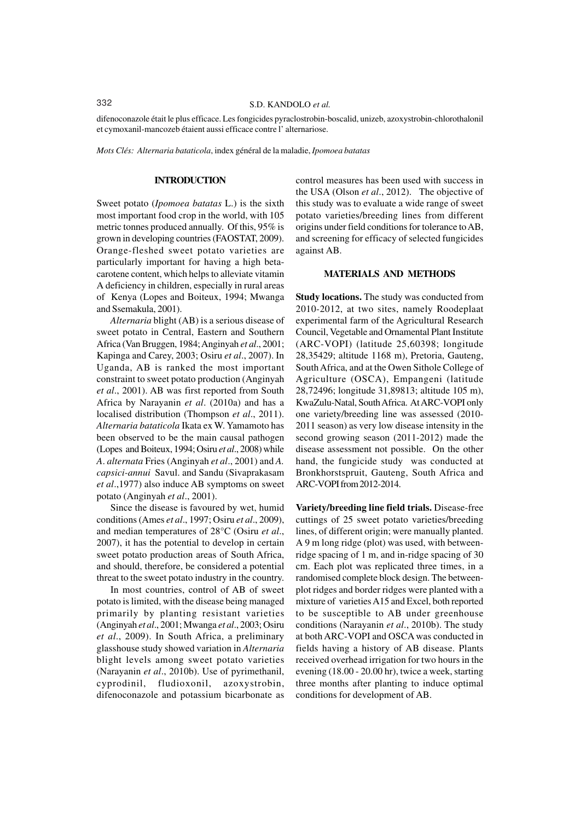difenoconazole était le plus efficace. Les fongicides pyraclostrobin-boscalid, unizeb, azoxystrobin-chlorothalonil et cymoxanil-mancozeb étaient aussi efficace contre l' alternariose.

*Mots Clés: Alternaria bataticola*, index général de la maladie, *Ipomoea batatas*

### **INTRODUCTION**

Sweet potato (*Ipomoea batatas* L.) is the sixth most important food crop in the world, with 105 metric tonnes produced annually. Of this, 95% is grown in developing countries (FAOSTAT, 2009). Orange-fleshed sweet potato varieties are particularly important for having a high betacarotene content, which helps to alleviate vitamin A deficiency in children, especially in rural areas of Kenya (Lopes and Boiteux, 1994; Mwanga and Ssemakula, 2001).

*Alternaria* blight (AB) is a serious disease of sweet potato in Central, Eastern and Southern Africa (Van Bruggen, 1984; Anginyah *et al*., 2001; Kapinga and Carey, 2003; Osiru *et al*., 2007). In Uganda, AB is ranked the most important constraint to sweet potato production (Anginyah *et al*., 2001). AB was first reported from South Africa by Narayanin *et al*. (2010a) and has a localised distribution (Thompson *et al*., 2011). *Alternaria bataticola* Ikata ex W. Yamamoto has been observed to be the main causal pathogen (Lopes and Boiteux, 1994; Osiru *et al*., 2008) while *A*. *alternata* Fries (Anginyah *et al*., 2001) and *A. capsici-annui* Savul. and Sandu (Sivaprakasam *et al*.,1977) also induce AB symptoms on sweet potato (Anginyah *et al*., 2001).

Since the disease is favoured by wet, humid conditions (Ames *et al*., 1997; Osiru *et al*., 2009), and median temperatures of 28°C (Osiru *et al*., 2007), it has the potential to develop in certain sweet potato production areas of South Africa, and should, therefore, be considered a potential threat to the sweet potato industry in the country.

In most countries, control of AB of sweet potato is limited, with the disease being managed primarily by planting resistant varieties (Anginyah *et al*., 2001; Mwanga *et al*., 2003; Osiru *et al*., 2009). In South Africa, a preliminary glasshouse study showed variation in *Alternaria* blight levels among sweet potato varieties (Narayanin *et al*., 2010b). Use of pyrimethanil, cyprodinil, fludioxonil, azoxystrobin, difenoconazole and potassium bicarbonate as

control measures has been used with success in the USA (Olson *et al*., 2012). The objective of this study was to evaluate a wide range of sweet potato varieties/breeding lines from different origins under field conditions for tolerance to AB, and screening for efficacy of selected fungicides against AB.

## **MATERIALS AND METHODS**

**Study locations.** The study was conducted from 2010-2012, at two sites, namely Roodeplaat experimental farm of the Agricultural Research Council, Vegetable and Ornamental Plant Institute (ARC-VOPI) (latitude 25,60398; longitude 28,35429; altitude 1168 m), Pretoria, Gauteng, South Africa, and at the Owen Sithole College of Agriculture (OSCA), Empangeni (latitude 28,72496; longitude 31,89813; altitude 105 m), KwaZulu-Natal, South Africa. At ARC-VOPI only one variety/breeding line was assessed (2010- 2011 season) as very low disease intensity in the second growing season (2011-2012) made the disease assessment not possible. On the other hand, the fungicide study was conducted at Bronkhorstspruit, Gauteng, South Africa and ARC-VOPI from 2012-2014.

**Variety/breeding line field trials.** Disease-free cuttings of 25 sweet potato varieties/breeding lines, of different origin; were manually planted. A 9 m long ridge (plot) was used, with betweenridge spacing of 1 m, and in-ridge spacing of 30 cm. Each plot was replicated three times, in a randomised complete block design. The betweenplot ridges and border ridges were planted with a mixture of varieties A15 and Excel, both reported to be susceptible to AB under greenhouse conditions (Narayanin *et al*., 2010b). The study at both ARC-VOPI and OSCA was conducted in fields having a history of AB disease. Plants received overhead irrigation for two hours in the evening (18.00 - 20.00 hr), twice a week, starting three months after planting to induce optimal conditions for development of AB.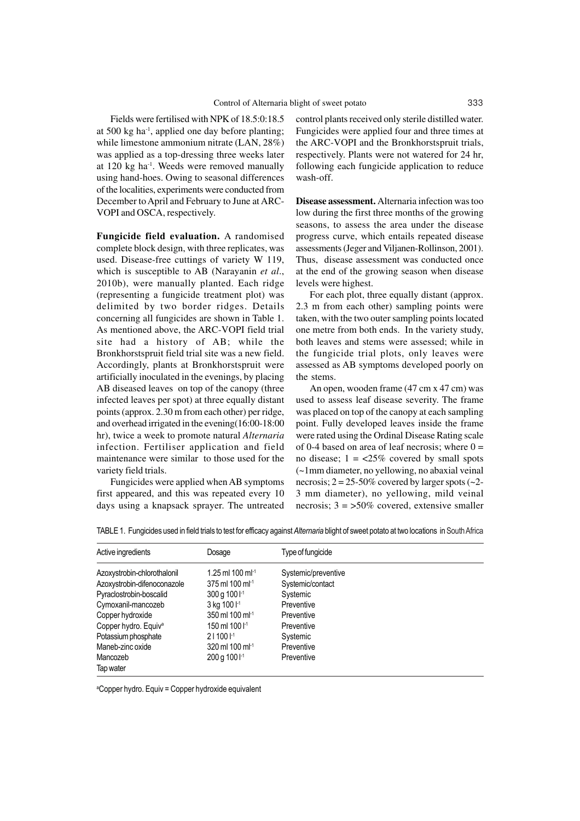Fields were fertilised with NPK of 18.5:0:18.5 at 500 kg ha-1, applied one day before planting; while limestone ammonium nitrate (LAN, 28%) was applied as a top-dressing three weeks later at 120 kg ha<sup>-1</sup>. Weeds were removed manually using hand-hoes. Owing to seasonal differences of the localities, experiments were conducted from December to April and February to June at ARC-VOPI and OSCA, respectively.

**Fungicide field evaluation.** A randomised complete block design, with three replicates, was used. Disease-free cuttings of variety W 119, which is susceptible to AB (Narayanin *et al*., 2010b), were manually planted. Each ridge (representing a fungicide treatment plot) was delimited by two border ridges. Details concerning all fungicides are shown in Table 1. As mentioned above, the ARC-VOPI field trial site had a history of AB; while the Bronkhorstspruit field trial site was a new field. Accordingly, plants at Bronkhorstspruit were artificially inoculated in the evenings, by placing AB diseased leaves on top of the canopy (three infected leaves per spot) at three equally distant points (approx. 2.30 m from each other) per ridge, and overhead irrigated in the evening(16:00-18:00 hr), twice a week to promote natural *Alternaria* infection. Fertiliser application and field maintenance were similar to those used for the variety field trials.

Fungicides were applied when AB symptoms first appeared, and this was repeated every 10 days using a knapsack sprayer. The untreated

control plants received only sterile distilled water. Fungicides were applied four and three times at the ARC-VOPI and the Bronkhorstspruit trials, respectively. Plants were not watered for 24 hr, following each fungicide application to reduce wash-off.

**Disease assessment.** Alternaria infection was too low during the first three months of the growing seasons, to assess the area under the disease progress curve, which entails repeated disease assessments (Jeger and Viljanen-Rollinson, 2001). Thus, disease assessment was conducted once at the end of the growing season when disease levels were highest.

For each plot, three equally distant (approx. 2.3 m from each other) sampling points were taken, with the two outer sampling points located one metre from both ends. In the variety study, both leaves and stems were assessed; while in the fungicide trial plots, only leaves were assessed as AB symptoms developed poorly on the stems.

An open, wooden frame (47 cm x 47 cm) was used to assess leaf disease severity. The frame was placed on top of the canopy at each sampling point. Fully developed leaves inside the frame were rated using the Ordinal Disease Rating scale of 0-4 based on area of leaf necrosis; where  $0 =$ no disease;  $1 = 25\%$  covered by small spots (~1mm diameter, no yellowing, no abaxial veinal necrosis;  $2 = 25-50\%$  covered by larger spots (~2-3 mm diameter), no yellowing, mild veinal necrosis;  $3 = 50\%$  covered, extensive smaller

| Active ingredients               | Dosage                       | Type of fungicide   |  |
|----------------------------------|------------------------------|---------------------|--|
| Azoxystrobin-chlorothalonil      | 1.25 ml 100 ml <sup>-1</sup> | Systemic/preventive |  |
| Azoxystrobin-difenoconazole      | 375 ml 100 ml <sup>-1</sup>  | Systemic/contact    |  |
| Pyraclostrobin-boscalid          | 300 g 100 l <sup>-1</sup>    | Systemic            |  |
| Cymoxanil-mancozeb               | 3 kg 100 l <sup>-1</sup>     | Preventive          |  |
| Copper hydroxide                 | 350 ml 100 ml <sup>-1</sup>  | Preventive          |  |
| Copper hydro. Equiv <sup>a</sup> | 150 ml 100 l <sup>-1</sup>   | Preventive          |  |
| Potassium phosphate              | $211001-1$                   | Systemic            |  |
| Maneb-zinc oxide                 | 320 ml 100 ml <sup>-1</sup>  | Preventive          |  |
| Mancozeb                         | 200 g 100 l <sup>-1</sup>    | Preventive          |  |
| Tap water                        |                              |                     |  |

TABLE 1. Fungicides used in field trials to test for efficacy against *Alternaria* blight of sweet potato at two locations in South Africa

aCopper hydro. Equiv = Copper hydroxide equivalent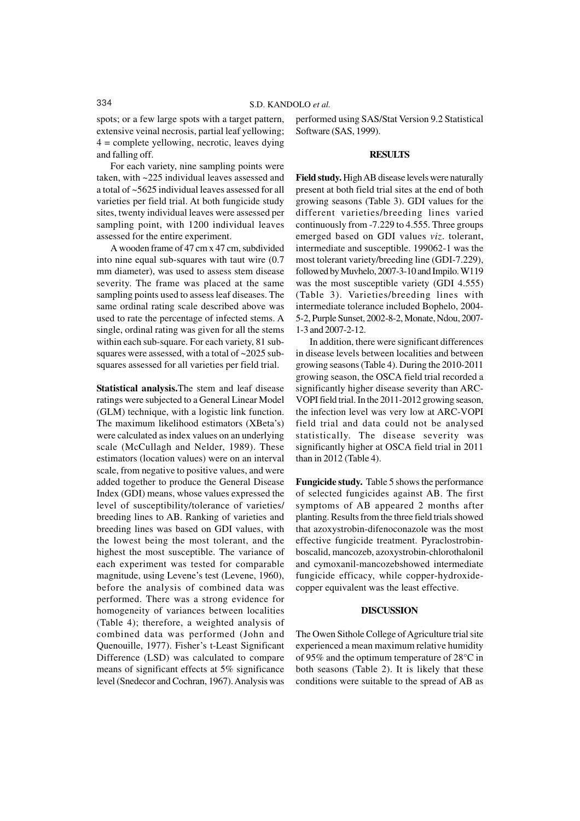spots; or a few large spots with a target pattern, extensive veinal necrosis, partial leaf yellowing;  $4 =$  complete yellowing, necrotic, leaves dying and falling off.

For each variety, nine sampling points were taken, with ~225 individual leaves assessed and a total of ~5625 individual leaves assessed for all varieties per field trial. At both fungicide study sites, twenty individual leaves were assessed per sampling point, with 1200 individual leaves assessed for the entire experiment.

A wooden frame of 47 cm x 47 cm, subdivided into nine equal sub-squares with taut wire (0.7 mm diameter), was used to assess stem disease severity. The frame was placed at the same sampling points used to assess leaf diseases. The same ordinal rating scale described above was used to rate the percentage of infected stems. A single, ordinal rating was given for all the stems within each sub-square. For each variety, 81 subsquares were assessed, with a total of ~2025 subsquares assessed for all varieties per field trial.

**Statistical analysis.**The stem and leaf disease ratings were subjected to a General Linear Model (GLM) technique, with a logistic link function. The maximum likelihood estimators (XBeta's) were calculated as index values on an underlying scale (McCullagh and Nelder, 1989). These estimators (location values) were on an interval scale, from negative to positive values, and were added together to produce the General Disease Index (GDI) means, whose values expressed the level of susceptibility/tolerance of varieties/ breeding lines to AB. Ranking of varieties and breeding lines was based on GDI values, with the lowest being the most tolerant, and the highest the most susceptible. The variance of each experiment was tested for comparable magnitude, using Levene's test (Levene, 1960), before the analysis of combined data was performed. There was a strong evidence for homogeneity of variances between localities (Table 4); therefore, a weighted analysis of combined data was performed (John and Quenouille, 1977). Fisher's t-Least Significant Difference (LSD) was calculated to compare means of significant effects at 5% significance level (Snedecor and Cochran, 1967). Analysis was

performed using SAS/Stat Version 9.2 Statistical Software (SAS, 1999).

### **RESULTS**

**Field study.** High AB disease levels were naturally present at both field trial sites at the end of both growing seasons (Table 3). GDI values for the different varieties/breeding lines varied continuously from -7.229 to 4.555. Three groups emerged based on GDI values *viz*. tolerant, intermediate and susceptible. 199062-1 was the most tolerant variety/breeding line (GDI-7.229), followed by Muvhelo, 2007-3-10 and Impilo. W119 was the most susceptible variety (GDI 4.555) (Table 3). Varieties/breeding lines with intermediate tolerance included Bophelo, 2004- 5-2, Purple Sunset, 2002-8-2, Monate, Ndou, 2007- 1-3 and 2007-2-12.

In addition, there were significant differences in disease levels between localities and between growing seasons (Table 4). During the 2010-2011 growing season, the OSCA field trial recorded a significantly higher disease severity than ARC-VOPI field trial. In the 2011-2012 growing season, the infection level was very low at ARC-VOPI field trial and data could not be analysed statistically. The disease severity was significantly higher at OSCA field trial in 2011 than in 2012 (Table 4).

**Fungicide study.** Table 5 shows the performance of selected fungicides against AB. The first symptoms of AB appeared 2 months after planting. Results from the three field trials showed that azoxystrobin-difenoconazole was the most effective fungicide treatment. Pyraclostrobinboscalid, mancozeb, azoxystrobin-chlorothalonil and cymoxanil-mancozebshowed intermediate fungicide efficacy, while copper-hydroxidecopper equivalent was the least effective.

### **DISCUSSION**

The Owen Sithole College of Agriculture trial site experienced a mean maximum relative humidity of 95% and the optimum temperature of 28°C in both seasons (Table 2). It is likely that these conditions were suitable to the spread of AB as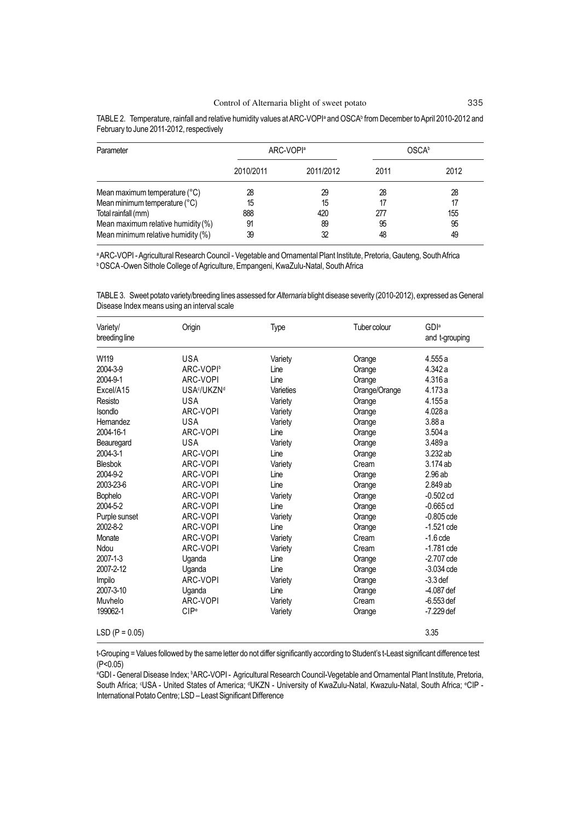| Parameter                          | ARC-VOPI <sup>a</sup> |           | OSCA <sup>b</sup> |      |
|------------------------------------|-----------------------|-----------|-------------------|------|
|                                    | 2010/2011             | 2011/2012 | 2011              | 2012 |
| Mean maximum temperature (°C)      | 28                    | 29        | 28                | 28   |
| Mean minimum temperature (°C)      | 15                    | 15        | 17                |      |
| Total rainfall (mm)                | 888                   | 420       | 277               | 155  |
| Mean maximum relative humidity (%) | 91                    | 89        | 95                | 95   |
| Mean minimum relative humidity (%) | 39                    | 32        | 48                | 49   |

TABLE 2. Temperature, rainfall and relative humidity values at ARC-VOPIª and OSCA<sup>b</sup> from December to April 2010-2012 and February to June 2011-2012, respectively

a ARC-VOPI - Agricultural Research Council - Vegetable and Ornamental Plant Institute, Pretoria, Gauteng, South Africa **bOSCA -Owen Sithole College of Agriculture, Empangeni, KwaZulu-Natal, South Africa** 

TABLE 3. Sweet potato variety/breeding lines assessed for *Alternaria* blight disease severity (2010-2012), expressed as General Disease Index means using an interval scale

| Variety/<br>breeding line | Origin                              | Type      | Tuber colour  | <b>GDI</b> <sup>a</sup><br>and t-grouping |
|---------------------------|-------------------------------------|-----------|---------------|-------------------------------------------|
| W119                      | USA                                 | Variety   | Orange        | 4.555 a                                   |
| 2004-3-9                  | ARC-VOPI <sup>b</sup>               | Line      | Orange        | 4.342 a                                   |
| 2004-9-1                  | ARC-VOPI                            | Line      | Orange        | 4.316 a                                   |
| Excel/A15                 | USA <sup>c</sup> /UKZN <sup>d</sup> | Varieties | Orange/Orange | 4.173 a                                   |
| Resisto                   | <b>USA</b>                          | Variety   | Orange        | 4.155 a                                   |
| Isondlo                   | ARC-VOPI                            | Variety   | Orange        | 4.028 a                                   |
| Hernandez                 | <b>USA</b>                          | Variety   | Orange        | 3.88a                                     |
| 2004-16-1                 | ARC-VOPI                            | Line      | Orange        | 3.504a                                    |
| Beauregard                | <b>USA</b>                          | Variety   | Orange        | 3.489a                                    |
| 2004-3-1                  | ARC-VOPI                            | Line      | Orange        | 3.232 ab                                  |
| <b>Blesbok</b>            | ARC-VOPI                            | Variety   | Cream         | 3.174 ab                                  |
| 2004-9-2                  | ARC-VOPI                            | Line      | Orange        | 2.96ab                                    |
| 2003-23-6                 | ARC-VOPI                            | Line      | Orange        | 2.849 ab                                  |
| <b>Bophelo</b>            | ARC-VOPI                            | Variety   | Orange        | $-0.502$ cd                               |
| 2004-5-2                  | ARC-VOPI                            | Line      | Orange        | $-0.665$ cd                               |
| Purple sunset             | ARC-VOPI                            | Variety   | Orange        | $-0.805$ cde                              |
| 2002-8-2                  | ARC-VOPI                            | Line      | Orange        | $-1.521$ cde                              |
| Monate                    | ARC-VOPI                            | Variety   | Cream         | $-1.6$ cde                                |
| Ndou                      | ARC-VOPI                            | Variety   | Cream         | $-1.781$ cde                              |
| 2007-1-3                  | Uganda                              | Line      | Orange        | $-2.707$ cde                              |
| 2007-2-12                 | Uganda                              | Line      | Orange        | $-3.034$ cde                              |
| Impilo                    | ARC-VOPI                            | Variety   | Orange        | $-3.3$ def                                |
| 2007-3-10                 | Uganda                              | Line      | Orange        | $-4.087$ def                              |
| Muvhelo                   | ARC-VOPI                            | Variety   | Cream         | $-6.553$ def                              |
| 199062-1                  | ClP <sup>e</sup>                    | Variety   | Orange        | $-7.229$ def                              |
| $LSD (P = 0.05)$          |                                     |           |               | 3.35                                      |

t-Grouping = Values followed by the same letter do not differ significantly according to Student's t-Least significant difference test (P<0.05)

aGDI - General Disease Index; <sup>b</sup>ARC-VOPI - Agricultural Research Council-Vegetable and Ornamental Plant Institute, Pretoria, South Africa; <sup>c</sup>USA - United States of America; <sup>d</sup>UKZN - University of KwaZulu-Natal, Kwazulu-Natal, South Africa; <sup>e</sup>CIP -International Potato Centre; LSD – Least Significant Difference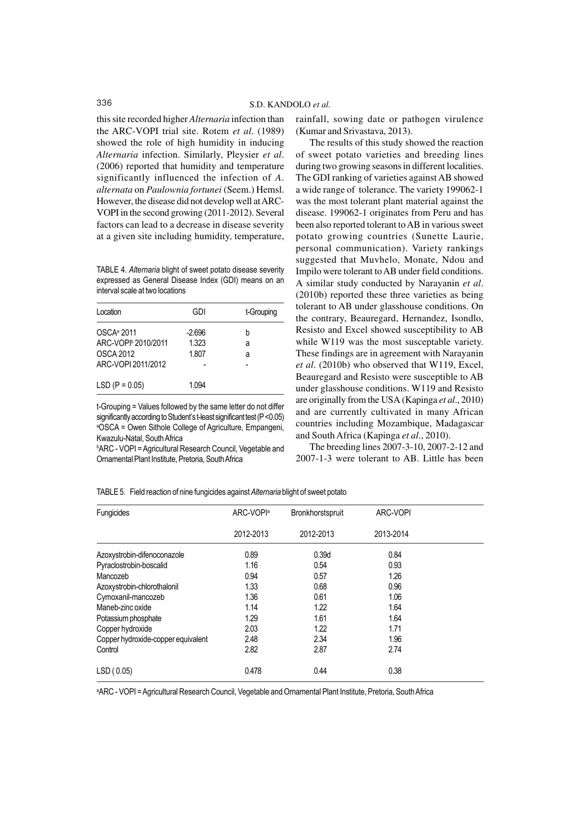this site recorded higher *Alternaria* infection than the ARC-VOPI trial site. Rotem *et al*. (1989) showed the role of high humidity in inducing *Alternaria* infection. Similarly, Pleysier *et al*. (2006) reported that humidity and temperature significantly influenced the infection of *A*. *alternata* on *Paulownia fortunei* (Seem.) Hemsl. However, the disease did not develop well at ARC-VOPI in the second growing (2011-2012). Several factors can lead to a decrease in disease severity at a given site including humidity, temperature,

TABLE 4. *Alternaria* blight of sweet potato disease severity expressed as General Disease Index (GDI) means on an interval scale at two locations

| Location                        | GDI      | t-Grouping |
|---------------------------------|----------|------------|
| OSCA <sup>a</sup> 2011          | $-2.696$ | h          |
| ARC-VOPI <sup>b</sup> 2010/2011 | 1.323    | а          |
| OSCA 2012                       | 1.807    | а          |
| ARC-VOPI 2011/2012              |          |            |
| $LSD (P = 0.05)$                | 1.094    |            |

t-Grouping = Values followed by the same letter do not differ significantly according to Student's t-least significant test (P <0.05) <sup>a</sup>OSCA = Owen Sithole College of Agriculture, Empangeni, Kwazulu-Natal, South Africa

<sup>b</sup>ARC - VOPI = Agricultural Research Council, Vegetable and Ornamental Plant Institute, Pretoria, South Africa

rainfall, sowing date or pathogen virulence (Kumar and Srivastava, 2013).

The results of this study showed the reaction of sweet potato varieties and breeding lines during two growing seasons in different localities. The GDI ranking of varieties against AB showed a wide range of tolerance. The variety 199062-1 was the most tolerant plant material against the disease. 199062-1 originates from Peru and has been also reported tolerant to AB in various sweet potato growing countries (Sunette Laurie, personal communication). Variety rankings suggested that Muvhelo, Monate, Ndou and Impilo were tolerant to AB under field conditions. A similar study conducted by Narayanin *et al*. (2010b) reported these three varieties as being tolerant to AB under glasshouse conditions. On the contrary, Beauregard, Hernandez, Isondlo, Resisto and Excel showed susceptibility to AB while W119 was the most susceptable variety. These findings are in agreement with Narayanin *et al*. (2010b) who observed that W119, Excel, Beauregard and Resisto were susceptible to AB under glasshouse conditions. W119 and Resisto are originally from the USA (Kapinga *et al*., 2010) and are currently cultivated in many African countries including Mozambique, Madagascar and South Africa (Kapinga *et al*., 2010).

The breeding lines 2007-3-10, 2007-2-12 and 2007-1-3 were tolerant to AB. Little has been

TABLE 5. Field reaction of nine fungicides against *Alternaria* blight of sweet potato

| Fungicides                         | ARC-VOPI <sup>a</sup> | Bronkhorstspruit | ARC-VOPI  |  |
|------------------------------------|-----------------------|------------------|-----------|--|
|                                    | 2012-2013             | 2012-2013        | 2013-2014 |  |
| Azoxystrobin-difenoconazole        | 0.89                  | 0.39d            | 0.84      |  |
| Pyraclostrobin-boscalid            | 1.16                  | 0.54             | 0.93      |  |
| Mancozeb                           | 0.94                  | 0.57             | 1.26      |  |
| Azoxystrobin-chlorothalonil        | 1.33                  | 0.68             | 0.96      |  |
| Cymoxanil-mancozeb                 | 1.36                  | 0.61             | 1.06      |  |
| Maneb-zinc oxide                   | 1.14                  | 1.22             | 1.64      |  |
| Potassium phosphate                | 1.29                  | 1.61             | 1.64      |  |
| Copper hydroxide                   | 2.03                  | 1.22             | 1.71      |  |
| Copper hydroxide-copper equivalent | 2.48                  | 2.34             | 1.96      |  |
| Control                            | 2.82                  | 2.87             | 2.74      |  |
| LSD(0.05)                          | 0.478                 | 0.44             | 0.38      |  |

<sup>a</sup>ARC - VOPI = Agricultural Research Council, Vegetable and Ornamental Plant Institute, Pretoria, South Africa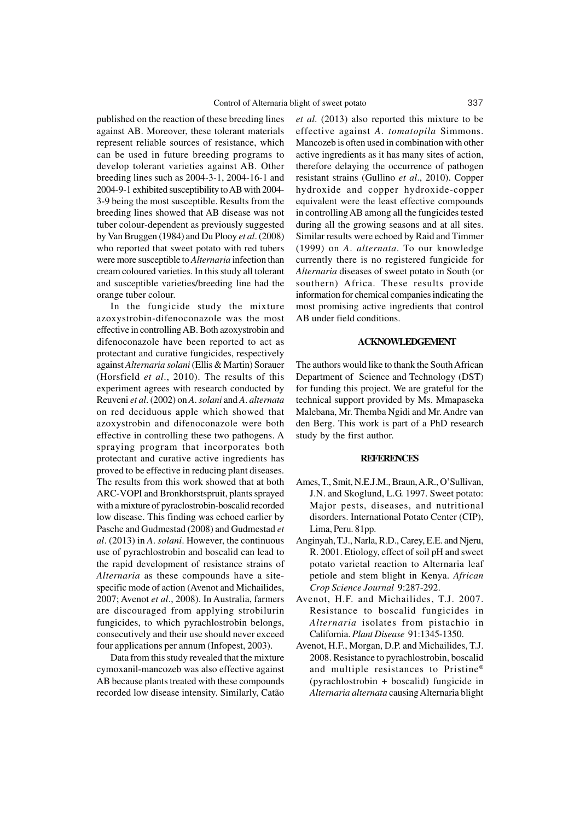published on the reaction of these breeding lines against AB. Moreover, these tolerant materials represent reliable sources of resistance, which can be used in future breeding programs to develop tolerant varieties against AB. Other breeding lines such as 2004-3-1, 2004-16-1 and 2004-9-1 exhibited susceptibility to AB with 2004- 3-9 being the most susceptible. Results from the breeding lines showed that AB disease was not tuber colour-dependent as previously suggested by Van Bruggen (1984) and Du Plooy *et al*. (2008) who reported that sweet potato with red tubers were more susceptible to *Alternaria* infection than cream coloured varieties. In this study all tolerant and susceptible varieties/breeding line had the orange tuber colour.

In the fungicide study the mixture azoxystrobin-difenoconazole was the most effective in controlling AB. Both azoxystrobin and difenoconazole have been reported to act as protectant and curative fungicides, respectively against *Alternaria solani* (Ellis & Martin) Sorauer (Horsfield *et al*., 2010). The results of this experiment agrees with research conducted by Reuveni *et al*. (2002) on *A*. *solani* and *A*. *alternata* on red deciduous apple which showed that azoxystrobin and difenoconazole were both effective in controlling these two pathogens. A spraying program that incorporates both protectant and curative active ingredients has proved to be effective in reducing plant diseases. The results from this work showed that at both ARC-VOPI and Bronkhorstspruit, plants sprayed with a mixture of pyraclostrobin-boscalid recorded low disease. This finding was echoed earlier by Pasche and Gudmestad (2008) and Gudmestad *et al*. (2013) in *A*. *solani*. However, the continuous use of pyrachlostrobin and boscalid can lead to the rapid development of resistance strains of *Alternaria* as these compounds have a sitespecific mode of action (Avenot and Michailides, 2007; Avenot *et al*., 2008). In Australia, farmers are discouraged from applying strobilurin fungicides, to which pyrachlostrobin belongs, consecutively and their use should never exceed four applications per annum (Infopest, 2003).

Data from this study revealed that the mixture cymoxanil-mancozeb was also effective against AB because plants treated with these compounds recorded low disease intensity. Similarly, Catão

*et al*. (2013) also reported this mixture to be effective against *A*. *tomatopila* Simmons. Mancozeb is often used in combination with other active ingredients as it has many sites of action, therefore delaying the occurrence of pathogen resistant strains (Gullino *et al*., 2010). Copper hydroxide and copper hydroxide-copper equivalent were the least effective compounds in controlling AB among all the fungicides tested during all the growing seasons and at all sites. Similar results were echoed by Raid and Timmer (1999) on *A*. *alternata*. To our knowledge currently there is no registered fungicide for *Alternaria* diseases of sweet potato in South (or southern) Africa. These results provide information for chemical companies indicating the most promising active ingredients that control AB under field conditions.

### **ACKNOWLEDGEMENT**

The authors would like to thank the South African Department of Science and Technology (DST) for funding this project. We are grateful for the technical support provided by Ms. Mmapaseka Malebana, Mr. Themba Ngidi and Mr. Andre van den Berg. This work is part of a PhD research study by the first author.

#### **REFERENCES**

- Ames, T., Smit, N.E.J.M., Braun, A.R., O'Sullivan, J.N. and Skoglund, L.G. 1997. Sweet potato: Major pests, diseases, and nutritional disorders. International Potato Center (CIP), Lima, Peru. 81pp.
- Anginyah, T.J., Narla, R.D., Carey, E.E. and Njeru, R. 2001. Etiology, effect of soil pH and sweet potato varietal reaction to Alternaria leaf petiole and stem blight in Kenya. *African Crop Science Journal* 9:287-292.
- Avenot, H.F. and Michailides, T.J. 2007. Resistance to boscalid fungicides in *Alternaria* isolates from pistachio in California. *Plant Disease* 91:1345-1350.
- Avenot, H.F., Morgan, D.P. and Michailides, T.J. 2008. Resistance to pyrachlostrobin, boscalid and multiple resistances to Pristine® (pyrachlostrobin + boscalid) fungicide in *Alternaria alternata* causing Alternaria blight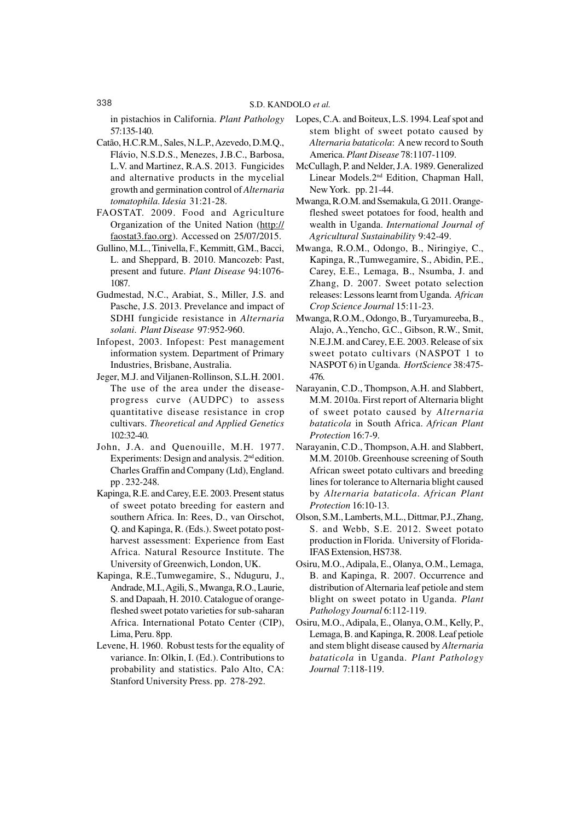in pistachios in California. *Plant Pathology* 57:135-140.

- Catão, H.C.R.M., Sales, N.L.P., Azevedo, D.M.Q., Flávio, N.S.D.S., Menezes, J.B.C., Barbosa, L.V. and Martinez, R.A.S. 2013. Fungicides and alternative products in the mycelial growth and germination control of *Alternaria tomatophila*. *Idesia* 31:21-28.
- FAOSTAT. 2009. Food and Agriculture Organization of the United Nation (http:// faostat3.fao.org). Accessed on 25/07/2015.
- Gullino, M.L., Tinivella, F., Kemmitt, G.M., Bacci, L. and Sheppard, B. 2010. Mancozeb: Past, present and future. *Plant Disease* 94:1076- 1087.
- Gudmestad, N.C., Arabiat, S., Miller, J.S. and Pasche, J.S. 2013. Prevelance and impact of SDHI fungicide resistance in *Alternaria solani*. *Plant Disease* 97:952-960.
- Infopest, 2003. Infopest: Pest management information system. Department of Primary Industries, Brisbane, Australia.
- Jeger, M.J. and Viljanen-Rollinson, S.L.H. 2001. The use of the area under the diseaseprogress curve (AUDPC) to assess quantitative disease resistance in crop cultivars. *Theoretical and Applied Genetics* 102:32-40.
- John, J.A. and Quenouille, M.H. 1977. Experiments: Design and analysis. 2<sup>nd</sup> edition. Charles Graffin and Company (Ltd), England. pp . 232-248.
- Kapinga, R.E. and Carey, E.E. 2003. Present status of sweet potato breeding for eastern and southern Africa. In: Rees, D., van Oirschot, Q. and Kapinga, R. (Eds.). Sweet potato postharvest assessment: Experience from East Africa. Natural Resource Institute. The University of Greenwich, London, UK.
- Kapinga, R.E.,Tumwegamire, S., Nduguru, J., Andrade, M.I., Agili, S., Mwanga, R.O., Laurie, S. and Dapaah, H. 2010. Catalogue of orangefleshed sweet potato varieties for sub-saharan Africa. International Potato Center (CIP), Lima, Peru. 8pp.
- Levene, H. 1960. Robust tests for the equality of variance. In: Olkin, I. (Ed.). Contributions to probability and statistics. Palo Alto, CA: Stanford University Press. pp. 278-292.
- Lopes, C.A. and Boiteux, L.S. 1994. Leaf spot and stem blight of sweet potato caused by *Alternaria bataticola*: A new record to South America. *Plant Disease* 78:1107-1109.
- McCullagh, P. and Nelder, J.A. 1989. Generalized Linear Models.2nd Edition, Chapman Hall, New York. pp. 21-44.
- Mwanga, R.O.M. and Ssemakula, G. 2011. Orangefleshed sweet potatoes for food, health and wealth in Uganda. *International Journal of Agricultural Sustainability* 9:42-49.
- Mwanga, R.O.M., Odongo, B., Niringiye, C., Kapinga, R.,Tumwegamire, S., Abidin, P.E., Carey, E.E., Lemaga, B., Nsumba, J. and Zhang, D. 2007. Sweet potato selection releases: Lessons learnt from Uganda. *African Crop Science Journal* 15:11-23.
- Mwanga, R.O.M., Odongo, B., Turyamureeba, B., Alajo, A.,Yencho, G.C., Gibson, R.W., Smit, N.E.J.M. and Carey, E.E. 2003. Release of six sweet potato cultivars (NASPOT 1 to NASPOT 6) in Uganda. *HortScience* 38:475- 476.
- Narayanin, C.D., Thompson, A.H. and Slabbert, M.M. 2010a. First report of Alternaria blight of sweet potato caused by *Alternaria bataticola* in South Africa. *African Plant Protection* 16:7-9.
- Narayanin, C.D., Thompson, A.H. and Slabbert, M.M. 2010b. Greenhouse screening of South African sweet potato cultivars and breeding lines for tolerance to Alternaria blight caused by *Alternaria bataticola*. *African Plant Protection* 16:10-13.
- Olson, S.M., Lamberts, M.L., Dittmar, P.J., Zhang, S. and Webb, S.E. 2012. Sweet potato production in Florida. University of Florida-IFAS Extension, HS738.
- Osiru, M.O., Adipala, E., Olanya, O.M., Lemaga, B. and Kapinga, R. 2007. Occurrence and distribution of Alternaria leaf petiole and stem blight on sweet potato in Uganda. *Plant Pathology Journal* 6:112-119.
- Osiru, M.O., Adipala, E., Olanya, O.M., Kelly, P., Lemaga, B. and Kapinga, R. 2008. Leaf petiole and stem blight disease caused by *Alternaria bataticola* in Uganda. *Plant Pathology Journal* 7:118-119.